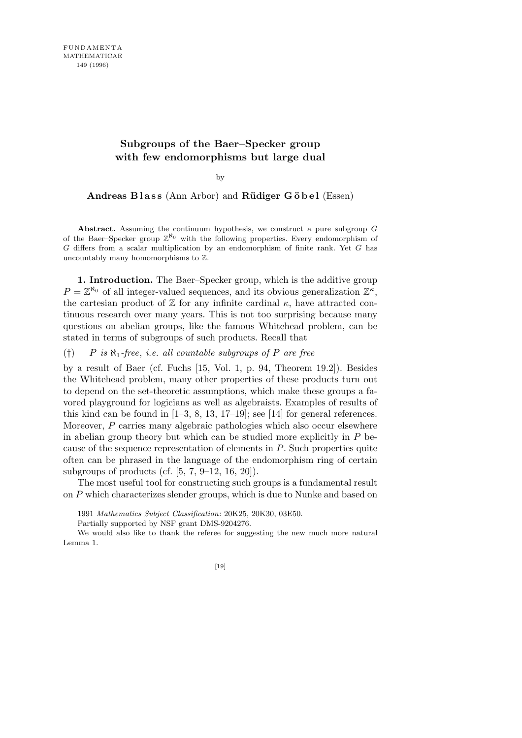## **Subgroups of the Baer–Specker group with few endomorphisms but large dual**

by

**Andreas Blass** (Ann Arbor) and **Rüdiger Göbel** (Essen)

**Abstract.** Assuming the continuum hypothesis, we construct a pure subgroup *G* of the Baer–Specker group  $\mathbb{Z}^{\aleph_0}$  with the following properties. Every endomorphism of *G* differs from a scalar multiplication by an endomorphism of finite rank. Yet *G* has uncountably many homomorphisms to Z.

**1. Introduction.** The Baer–Specker group, which is the additive group  $P = \mathbb{Z}^{\aleph_0}$  of all integer-valued sequences, and its obvious generalization  $\mathbb{Z}^{\kappa}$ , the cartesian product of  $Z$  for any infinite cardinal  $\kappa$ , have attracted continuous research over many years. This is not too surprising because many questions on abelian groups, like the famous Whitehead problem, can be stated in terms of subgroups of such products. Recall that

(*†*) *P is ℵ*1*-free*, *i.e. all countable subgroups of P are free*

by a result of Baer (cf. Fuchs [15, Vol. 1, p. 94, Theorem 19.2]). Besides the Whitehead problem, many other properties of these products turn out to depend on the set-theoretic assumptions, which make these groups a favored playground for logicians as well as algebraists. Examples of results of this kind can be found in  $[1-3, 8, 13, 17-19]$ ; see  $[14]$  for general references. Moreover, *P* carries many algebraic pathologies which also occur elsewhere in abelian group theory but which can be studied more explicitly in *P* because of the sequence representation of elements in *P*. Such properties quite often can be phrased in the language of the endomorphism ring of certain subgroups of products (cf.  $[5, 7, 9-12, 16, 20]$ ).

The most useful tool for constructing such groups is a fundamental result on *P* which characterizes slender groups, which is due to Nunke and based on

Partially supported by NSF grant DMS-9204276.

<sup>1991</sup> *Mathematics Subject Classification*: 20K25, 20K30, 03E50.

We would also like to thank the referee for suggesting the new much more natural Lemma 1.

<sup>[19]</sup>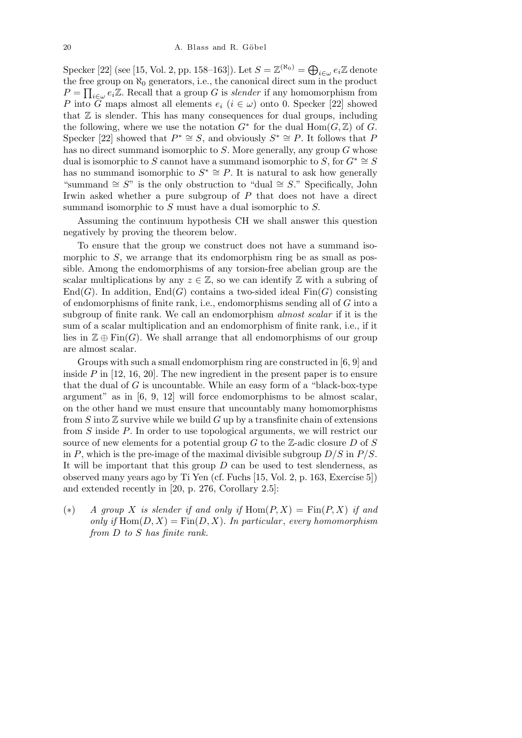Specker [22] (see [15, Vol. 2, pp. 158–163]). Let  $S = \mathbb{Z}^{(N_0)} = \bigoplus$ *i∈ω ei*Z denote the free group on  $\aleph_0$  generators, i.e., the canonical direct sum in the product *P* = ree *i∈ω ei*Z. Recall that a group *G* is *slender* if any homomorphism from *P* into  $\tilde{G}$  maps almost all elements  $e_i$  ( $i \in \omega$ ) onto 0. Specker [22] showed that  $\mathbb Z$  is slender. This has many consequences for dual groups, including the following, where we use the notation  $G^*$  for the dual  $Hom(G, \mathbb{Z})$  of  $G$ . Specker [22] showed that  $P^* \cong S$ , and obviously  $S^* \cong P$ . It follows that *P* has no direct summand isomorphic to *S*. More generally, any group *G* whose dual is isomorphic to *S* cannot have a summand isomorphic to *S*, for  $G^* \cong S$ has no summand isomorphic to  $S^* \cong P$ . It is natural to ask how generally "summand *∼*= *S*" is the only obstruction to "dual *∼*= *S*." Specifically, John Irwin asked whether a pure subgroup of *P* that does not have a direct summand isomorphic to *S* must have a dual isomorphic to *S.*

Assuming the continuum hypothesis CH we shall answer this question negatively by proving the theorem below.

To ensure that the group we construct does not have a summand isomorphic to *S*, we arrange that its endomorphism ring be as small as possible. Among the endomorphisms of any torsion-free abelian group are the scalar multiplications by any  $z \in \mathbb{Z}$ , so we can identify  $\mathbb Z$  with a subring of  $End(G)$ . In addition,  $End(G)$  contains a two-sided ideal  $Fin(G)$  consisting of endomorphisms of finite rank, i.e., endomorphisms sending all of *G* into a subgroup of finite rank. We call an endomorphism *almost scalar* if it is the sum of a scalar multiplication and an endomorphism of finite rank, i.e., if it lies in  $\mathbb{Z} \oplus \mathrm{Fin}(G)$ . We shall arrange that all endomorphisms of our group are almost scalar.

Groups with such a small endomorphism ring are constructed in [6, 9] and inside *P* in [12, 16, 20]. The new ingredient in the present paper is to ensure that the dual of *G* is uncountable. While an easy form of a "black-box-type argument" as in [6, 9, 12] will force endomorphisms to be almost scalar, on the other hand we must ensure that uncountably many homomorphisms from  $S$  into  $\mathbb Z$  survive while we build  $G$  up by a transfinite chain of extensions from *S* inside *P*. In order to use topological arguments, we will restrict our source of new elements for a potential group *G* to the Z-adic closure *D* of *S* in *P*, which is the pre-image of the maximal divisible subgroup *D/S* in *P/S*. It will be important that this group *D* can be used to test slenderness, as observed many years ago by Ti Yen (cf. Fuchs [15, Vol. 2, p. 163, Exercise 5]) and extended recently in [20, p. 276, Corollary 2.5]:

(\*) *A group X is slender if and only if*  $Hom(P, X) = Fin(P, X)$  *if and only if*  $\text{Hom}(D, X) = \text{Fin}(D, X)$ *. In particular, every homomorphism from D to S has finite rank.*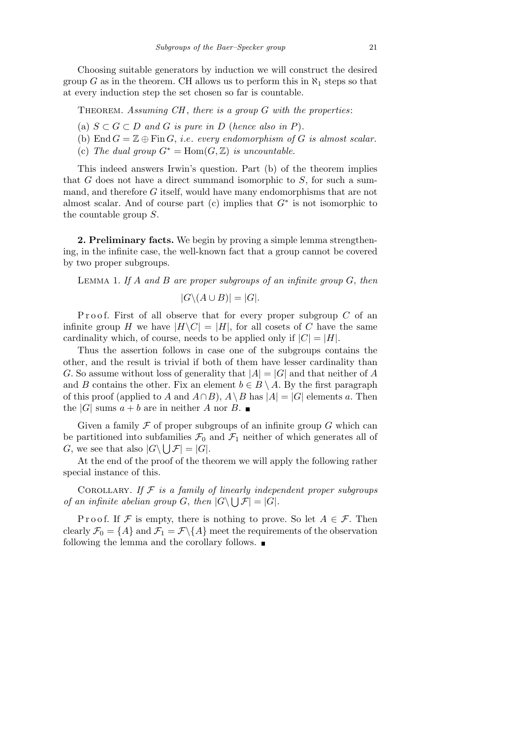Choosing suitable generators by induction we will construct the desired group *G* as in the theorem. CH allows us to perform this in  $\aleph_1$  steps so that at every induction step the set chosen so far is countable.

Theorem. *Assuming CH* , *there is a group G with the properties*:

- (a)  $S \subset G \subset D$  *and*  $G$  *is pure in*  $D$  (*hence also in*  $P$ ).
- (b) End  $G = \mathbb{Z} \oplus \text{Fin } G$ , *i.e.* every endomorphism of G is almost scalar.
- (c) The dual group  $G^* = \text{Hom}(G, \mathbb{Z})$  is uncountable.

This indeed answers Irwin's question. Part (b) of the theorem implies that *G* does not have a direct summand isomorphic to *S*, for such a summand, and therefore *G* itself, would have many endomorphisms that are not almost scalar. And of course part (c) implies that *G<sup>∗</sup>* is not isomorphic to the countable group *S*.

**2. Preliminary facts.** We begin by proving a simple lemma strengthening, in the infinite case, the well-known fact that a group cannot be covered by two proper subgroups.

Lemma 1. *If A and B are proper subgroups of an infinite group G*, *then*

$$
|G \backslash (A \cup B)| = |G|.
$$

Proof. First of all observe that for every proper subgroup *C* of an infinite group *H* we have  $|H \backslash C| = |H|$ , for all cosets of *C* have the same cardinality which, of course, needs to be applied only if  $|C| = |H|$ .

Thus the assertion follows in case one of the subgroups contains the other, and the result is trivial if both of them have lesser cardinality than *G*. So assume without loss of generality that  $|A| = |G|$  and that neither of *A* and *B* contains the other. Fix an element  $b \in B \setminus A$ . By the first paragraph of this proof (applied to *A* and  $A \cap B$ ),  $A \setminus B$  has  $|A| = |G|$  elements *a*. Then the  $|G|$  sums  $a + b$  are in neither *A* nor *B*.

Given a family  $\mathcal F$  of proper subgroups of an infinite group  $G$  which can be partitioned into subfamilies  $\mathcal{F}_0$  and  $\mathcal{F}_1$  neither of which generates all of *G*, we see that also  $|G \setminus \bigcup \mathcal{F}| = |G|$ .

At the end of the proof of the theorem we will apply the following rather special instance of this.

COROLLARY. If  $\mathcal F$  is a family of linearly independent proper subgroups *of an infinite abelian group G*, then  $|G \setminus \bigcup \mathcal{F}| = |G|$ *.* 

P r o o f. If  $\mathcal F$  is empty, there is nothing to prove. So let  $A \in \mathcal F$ . Then clearly  $\mathcal{F}_0 = \{A\}$  and  $\mathcal{F}_1 = \mathcal{F}\backslash\{A\}$  meet the requirements of the observation following the lemma and the corollary follows.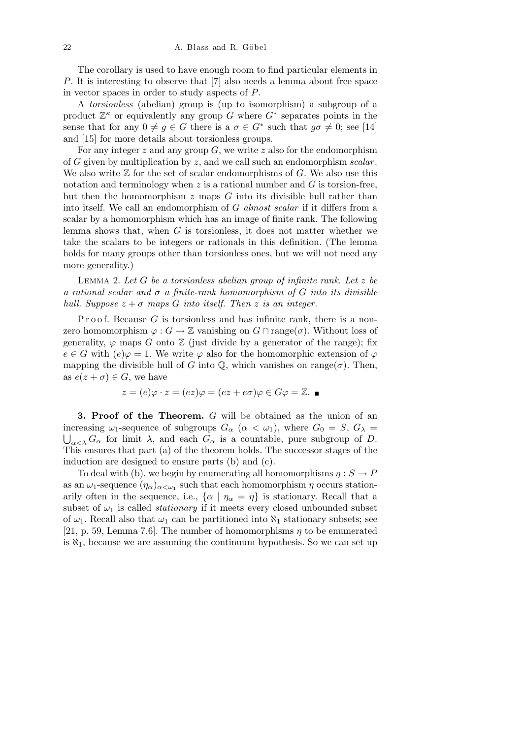The corollary is used to have enough room to find particular elements in *P*. It is interesting to observe that [7] also needs a lemma about free space in vector spaces in order to study aspects of *P*.

A *torsionless* (abelian) group is (up to isomorphism) a subgroup of a product  $\mathbb{Z}^{\kappa}$  or equivalently any group *G* where  $G^*$  separates points in the sense that for any  $0 \neq g \in G$  there is a  $\sigma \in G^*$  such that  $g\sigma \neq 0$ ; see [14] and [15] for more details about torsionless groups.

For any integer *z* and any group *G*, we write *z* also for the endomorphism of *G* given by multiplication by *z*, and we call such an endomorphism *scalar* . We also write Z for the set of scalar endomorphisms of *G*. We also use this notation and terminology when *z* is a rational number and *G* is torsion-free, but then the homomorphism *z* maps *G* into its divisible hull rather than into itself. We call an endomorphism of *G almost scalar* if it differs from a scalar by a homomorphism which has an image of finite rank. The following lemma shows that, when *G* is torsionless, it does not matter whether we take the scalars to be integers or rationals in this definition. (The lemma holds for many groups other than torsionless ones, but we will not need any more generality.)

Lemma 2. *Let G be a torsionless abelian group of infinite rank. Let z be a rational scalar and σ a finite-rank homomorphism of G into its divisible hull. Suppose*  $z + \sigma$  *maps G into itself. Then z is an integer.* 

Proof. Because *G* is torsionless and has infinite rank, there is a nonzero homomorphism  $\varphi$  :  $G \to \mathbb{Z}$  vanishing on  $G \cap \text{range}(\sigma)$ . Without loss of generality,  $\varphi$  maps *G* onto  $\mathbb{Z}$  (just divide by a generator of the range); fix  $e \in G$  with  $(e)\varphi = 1$ . We write  $\varphi$  also for the homomorphic extension of  $\varphi$ mapping the divisible hull of *G* into  $\mathbb{Q}$ , which vanishes on range( $\sigma$ ). Then, as  $e(z + \sigma) \in G$ , we have

$$
z = (e)\varphi \cdot z = (ez)\varphi = (ez + e\sigma)\varphi \in G\varphi = \mathbb{Z}.\ \blacksquare
$$

**3. Proof of the Theorem.** *G* will be obtained as the union of an increasing  $\omega_1$ -sequence of subgroups  $G_\alpha$  ( $\alpha < \omega_1$ ), where  $G_0 = S$ ,  $G_\lambda =$  $\bigcup_{\alpha \leq \lambda} G_{\alpha}$  for limit  $\lambda$ , and each  $G_{\alpha}$  is a countable, pure subgroup of *D*. This ensures that part (a) of the theorem holds. The successor stages of the induction are designed to ensure parts (b) and (c).

To deal with (b), we begin by enumerating all homomorphisms  $\eta : S \to P$ as an  $\omega_1$ -sequence  $(\eta_\alpha)_{\alpha<\omega_1}$  such that each homomorphism  $\eta$  occurs stationarily often in the sequence, i.e.,  $\{\alpha \mid \eta_{\alpha} = \eta\}$  is stationary. Recall that a subset of  $\omega_1$  is called *stationary* if it meets every closed unbounded subset of  $\omega_1$ . Recall also that  $\omega_1$  can be partitioned into  $\aleph_1$  stationary subsets; see [21, p. 59, Lemma 7.6]. The number of homomorphisms *η* to be enumerated is  $\aleph_1$ , because we are assuming the continuum hypothesis. So we can set up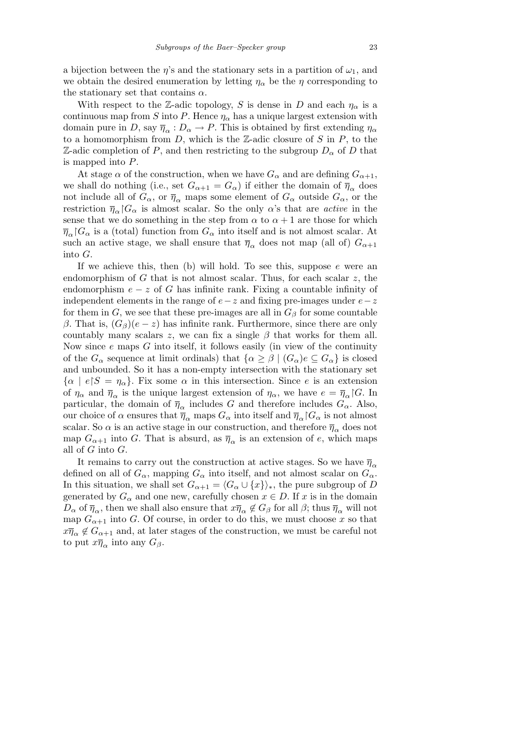a bijection between the  $\eta$ 's and the stationary sets in a partition of  $\omega_1$ , and we obtain the desired enumeration by letting  $\eta_{\alpha}$  be the  $\eta$  corresponding to the stationary set that contains *α*.

With respect to the Z-adic topology, *S* is dense in *D* and each  $\eta_{\alpha}$  is a continuous map from *S* into *P*. Hence  $\eta_{\alpha}$  has a unique largest extension with domain pure in *D*, say  $\bar{\eta}_{\alpha}: D_{\alpha} \to P$ . This is obtained by first extending  $\eta_{\alpha}$ to a homomorphism from *D*, which is the Z-adic closure of *S* in *P*, to the Z-adic completion of *P*, and then restricting to the subgroup  $D_{\alpha}$  of *D* that is mapped into *P*.

At stage  $\alpha$  of the construction, when we have  $G_{\alpha}$  and are defining  $G_{\alpha+1}$ , we shall do nothing (i.e., set  $G_{\alpha+1} = G_{\alpha}$ ) if either the domain of  $\overline{\eta}_{\alpha}$  does not include all of  $G_{\alpha}$ , or  $\overline{\eta}_{\alpha}$  maps some element of  $G_{\alpha}$  outside  $G_{\alpha}$ , or the restriction  $\overline{\eta}_{\alpha}$  *G*<sub> $\alpha$ </sub> is almost scalar. So the only  $\alpha$ 's that are *active* in the sense that we do something in the step from  $\alpha$  to  $\alpha + 1$  are those for which  $\overline{\eta}_{\alpha}$  *G<sub>α</sub>* is a (total) function from  $G_{\alpha}$  into itself and is not almost scalar. At such an active stage, we shall ensure that  $\bar{\eta}_{\alpha}$  does not map (all of)  $G_{\alpha+1}$ into *G*.

If we achieve this, then (b) will hold. To see this, suppose *e* were an endomorphism of *G* that is not almost scalar. Thus, for each scalar *z*, the endomorphism  $e - z$  of *G* has infinite rank. Fixing a countable infinity of independent elements in the range of *e−z* and fixing pre-images under *e−z* for them in *G*, we see that these pre-images are all in  $G_\beta$  for some countable *β*. That is,  $(G_β)(e - z)$  has infinite rank. Furthermore, since there are only countably many scalars *z*, we can fix a single  $\beta$  that works for them all. Now since *e* maps *G* into itself, it follows easily (in view of the continuity of the  $G_{\alpha}$  sequence at limit ordinals) that  $\{\alpha \geq \beta \mid (G_{\alpha})e \subseteq G_{\alpha}\}\)$  is closed and unbounded. So it has a non-empty intersection with the stationary set  $\{\alpha \mid e \mid S = \eta_\alpha\}$ . Fix some  $\alpha$  in this intersection. Since *e* is an extension of  $\eta_{\alpha}$  and  $\overline{\eta}_{\alpha}$  is the unique largest extension of  $\eta_{\alpha}$ , we have  $e = \overline{\eta}_{\alpha}$  *G*. In particular, the domain of  $\bar{\eta}_{\alpha}$  includes *G* and therefore includes  $G_{\alpha}$ . Also, our choice of  $\alpha$  ensures that  $\overline{\eta}_{\alpha}$  maps  $G_{\alpha}$  into itself and  $\overline{\eta}_{\alpha}$  *G*<sub> $\alpha$ </sub> is not almost scalar. So  $\alpha$  is an active stage in our construction, and therefore  $\overline{\eta}_{\alpha}$  does not map  $G_{\alpha+1}$  into *G*. That is absurd, as  $\overline{\eta}_{\alpha}$  is an extension of *e*, which maps all of *G* into *G*.

It remains to carry out the construction at active stages. So we have  $\bar{\eta}_{\alpha}$ defined on all of  $G_\alpha$ , mapping  $G_\alpha$  into itself, and not almost scalar on  $G_\alpha$ . In this situation, we shall set  $G_{\alpha+1} = \langle G_{\alpha} \cup \{x\} \rangle_*$ , the pure subgroup of *D* generated by  $G_\alpha$  and one new, carefully chosen  $x \in D$ . If  $x$  is in the domain  $D_{\alpha}$  of  $\overline{\eta}_{\alpha}$ , then we shall also ensure that  $x\overline{\eta}_{\alpha} \notin G_{\beta}$  for all  $\beta$ ; thus  $\overline{\eta}_{\alpha}$  will not map  $G_{\alpha+1}$  into *G*. Of course, in order to do this, we must choose *x* so that  $x\overline{\eta}_{\alpha} \notin G_{\alpha+1}$  and, at later stages of the construction, we must be careful not to put  $x\overline{\eta}_{\alpha}$  into any  $G_{\beta}$ .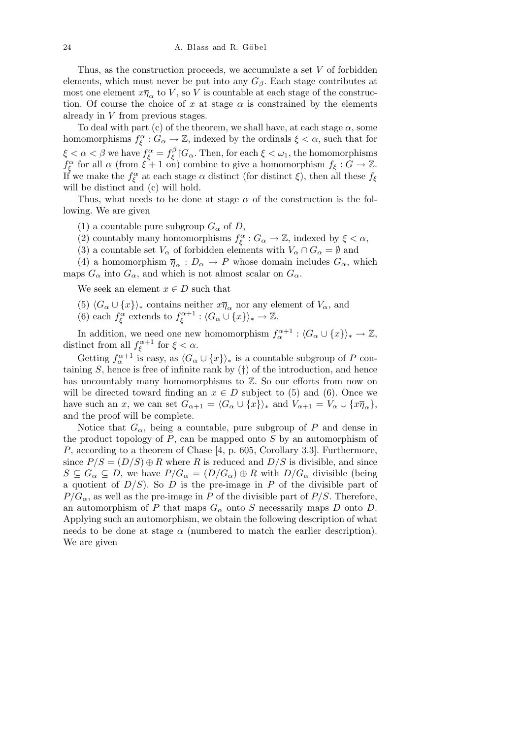Thus, as the construction proceeds, we accumulate a set *V* of forbidden elements, which must never be put into any  $G_\beta$ . Each stage contributes at most one element  $x\overline{\eta}_{\alpha}$  to *V*, so *V* is countable at each stage of the construction. Of course the choice of *x* at stage  $\alpha$  is constrained by the elements already in *V* from previous stages.

To deal with part (c) of the theorem, we shall have, at each stage  $\alpha$ , some homomorphisms  $f_{\xi}^{\alpha}: G_{\alpha} \to \mathbb{Z}$ , indexed by the ordinals  $\xi < \alpha$ , such that for *ξ* <  $\alpha$  < *β* we have  $f_{\xi}^{\alpha} = f_{\xi}^{\beta}$  $\frac{1}{\xi}$   $G_{\alpha}$ . Then, for each  $\xi < \omega_1$ , the homomorphisms *f*<sub> $\xi$ </sub> for all *α* (from  $\xi$  + 1 on) combine to give a homomorphism  $f_{\xi}$  :  $G \to \mathbb{Z}$ . If we make the *f α ξ* at each stage *α* distinct (for distinct *ξ*), then all these *f<sup>ξ</sup>* will be distinct and  $(c)$  will hold.

Thus, what needs to be done at stage  $\alpha$  of the construction is the following. We are given

- (1) a countable pure subgroup  $G_\alpha$  of *D*,
- (2) countably many homomorphisms  $f_{\xi}^{\alpha}: G_{\alpha} \to \mathbb{Z}$ , indexed by  $\xi < \alpha$ ,
- (3) a countable set  $V_\alpha$  of forbidden elements with  $V_\alpha \cap G_\alpha = \emptyset$  and

(4) a homomorphism  $\bar{\eta}_{\alpha}: D_{\alpha} \to P$  whose domain includes  $G_{\alpha}$ , which maps  $G_{\alpha}$  into  $G_{\alpha}$ , and which is not almost scalar on  $G_{\alpha}$ .

We seek an element  $x \in D$  such that

- $(5)$   $\langle G_\alpha \cup \{x\} \rangle_*$  contains neither  $x\overline{\eta}_\alpha$  nor any element of  $V_\alpha$ , and
- (6) each  $f_{\xi}^{\alpha}$  extends to  $f_{\xi}^{\alpha+1}$ :  $\langle G_{\alpha} \cup \{x\} \rangle_* \to \mathbb{Z}$ .

In addition, we need one new homomorphism  $f_{\alpha}^{\alpha+1}$  :  $\langle G_{\alpha} \cup \{x\} \rangle_* \to \mathbb{Z}$ , distinct from all  $f_{\xi}^{\alpha+1}$  for  $\xi < \alpha$ .

Getting  $f_{\alpha}^{\alpha+1}$  is easy, as  $\langle G_{\alpha} \cup \{x\} \rangle_*$  is a countable subgroup of P containing *S*, hence is free of infinite rank by (*†*) of the introduction, and hence has uncountably many homomorphisms to  $\mathbb{Z}$ . So our efforts from now on will be directed toward finding an  $x \in D$  subject to (5) and (6). Once we have such an *x*, we can set  $G_{\alpha+1} = \langle G_{\alpha} \cup \{x\} \rangle_*$  and  $V_{\alpha+1} = V_{\alpha} \cup \{x\overline{\eta}_{\alpha}\},$ and the proof will be complete.

Notice that  $G_{\alpha}$ , being a countable, pure subgroup of *P* and dense in the product topology of *P*, can be mapped onto *S* by an automorphism of *P*, according to a theorem of Chase [4, p. 605, Corollary 3.3]. Furthermore, since  $P/S = (D/S) \oplus R$  where R is reduced and  $D/S$  is divisible, and since  $S \subseteq G_\alpha \subseteq D$ , we have  $P/G_\alpha = (D/G_\alpha) \oplus R$  with  $D/G_\alpha$  divisible (being a quotient of  $D/S$ ). So *D* is the pre-image in *P* of the divisible part of  $P/G_{\alpha}$ , as well as the pre-image in *P* of the divisible part of *P/S*. Therefore, an automorphism of *P* that maps  $G_{\alpha}$  onto *S* necessarily maps *D* onto *D*. Applying such an automorphism, we obtain the following description of what needs to be done at stage  $\alpha$  (numbered to match the earlier description). We are given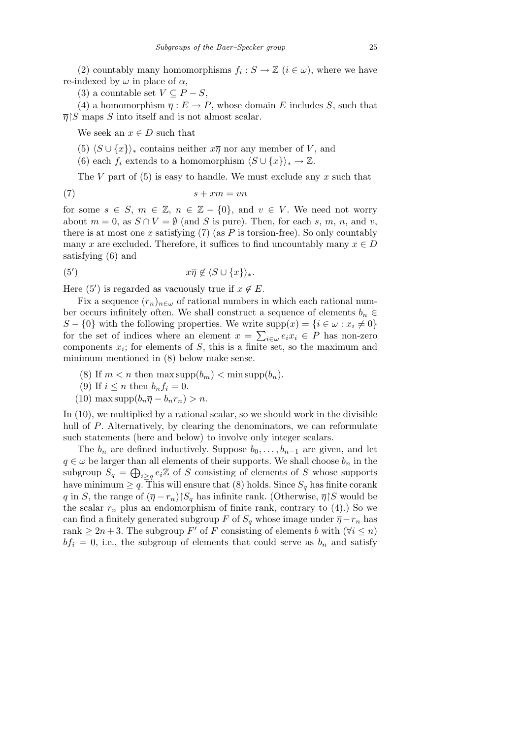(2) countably many homomorphisms  $f_i: S \to \mathbb{Z}$  ( $i \in \omega$ ), where we have re-indexed by  $\omega$  in place of  $\alpha$ ,

(3) a countable set  $V \subseteq P - S$ ,

(4) a homomorphism  $\overline{\eta}: E \to P$ , whose domain *E* includes *S*, such that  $\overline{\eta}$  *S* maps *S* into itself and is not almost scalar.

We seek an  $x \in D$  such that

- (5)  $\langle S \cup \{x\}\rangle_*$  contains neither  $x\overline{\eta}$  nor any member of *V*, and
- (6) each  $f_i$  extends to a homomorphism  $\langle S \cup \{x\} \rangle_* \to \mathbb{Z}$ .

The *V* part of (5) is easy to handle. We must exclude any *x* such that

$$
(7) \t\t s + xm = vn
$$

for some  $s \in S$ ,  $m \in \mathbb{Z}$ ,  $n \in \mathbb{Z} - \{0\}$ , and  $v \in V$ . We need not worry about  $m = 0$ , as  $S \cap V = \emptyset$  (and *S* is pure). Then, for each *s*, *m*, *n*, and *v*, there is at most one *x* satisfying  $(7)$  (as *P* is torsion-free). So only countably many *x* are excluded. Therefore, it suffices to find uncountably many  $x \in D$ satisfying (6) and

$$
(5') \t\t x\overline{\eta} \notin \langle S \cup \{x\} \rangle_*.
$$

Here (5<sup>'</sup>) is regarded as vacuously true if  $x \notin E$ .

Fix a sequence  $(r_n)_{n \in \omega}$  of rational numbers in which each rational number occurs infinitely often. We shall construct a sequence of elements  $b_n \in$  $S - \{0\}$  with the following properties. We write  $\text{supp}(x) = \{i \in \omega : x_i \neq 0\}$ for the set of indices where an element  $x = \sum_{i \in \omega} e_i x_i \in P$  has non-zero components  $x_i$ ; for elements of  $S$ , this is a finite set, so the maximum and minimum mentioned in (8) below make sense.

- (8) If  $m < n$  then max supp $(b_m) < \min$ supp $(b_n)$ .
- (9) If  $i \leq n$  then  $b_n f_i = 0$ .
- $(10)$  max supp $(b_n\overline{\eta} b_nr_n) > n$ .

In (10), we multiplied by a rational scalar, so we should work in the divisible hull of *P*. Alternatively, by clearing the denominators, we can reformulate such statements (here and below) to involve only integer scalars.

The  $b_n$  are defined inductively. Suppose  $b_0, \ldots, b_{n-1}$  are given, and let  $q \in \omega$  be larger than all elements of their supports. We shall choose  $b_n$  in the subgroup  $S_q = \bigoplus_{i \geq q} e_i \mathbb{Z}$  of *S* consisting of elements of *S* whose supports have minimum  $\geq q$ . This will ensure that (8) holds. Since  $S_q$  has finite corank *q* in *S*, the range of  $(\overline{\eta} - r_n) \setminus S_q$  has infinite rank. (Otherwise,  $\overline{\eta} \setminus S$  would be the scalar  $r_n$  plus an endomorphism of finite rank, contrary to (4).) So we can find a finitely generated subgroup *F* of  $S_q$  whose image under  $\overline{\eta} - r_n$  has rank  $\geq 2n+3$ . The subgroup *F*' of *F* consisting of elements *b* with  $(\forall i \leq n)$  $bf_i = 0$ , i.e., the subgroup of elements that could serve as  $b_n$  and satisfy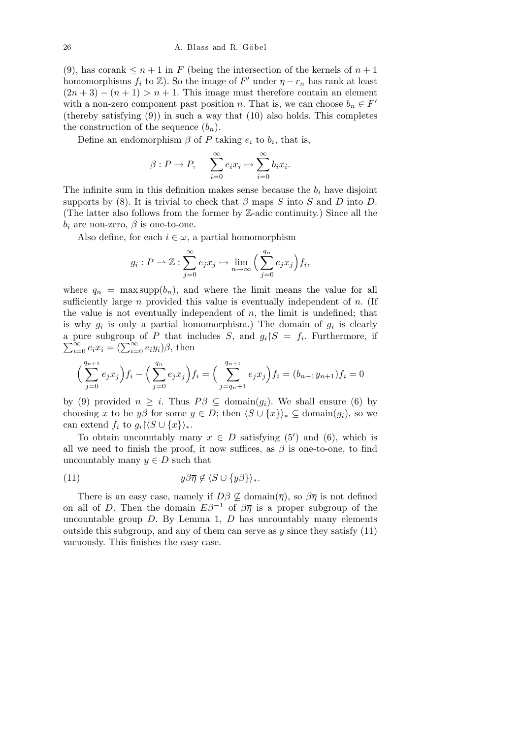(9), has corank  $\leq n+1$  in *F* (being the intersection of the kernels of  $n+1$ homomorphisms  $f_i$  to  $\mathbb{Z}$ ). So the image of  $F'$  under  $\overline{\eta} - r_n$  has rank at least  $(2n+3) - (n+1) > n+1$ . This image must therefore contain an element with a non-zero component past position *n*. That is, we can choose  $b_n \in F'$ (thereby satisfying  $(9)$ ) in such a way that  $(10)$  also holds. This completes the construction of the sequence  $(b_n)$ .

Define an endomorphism  $\beta$  of  $P$  taking  $e_i$  to  $b_i$ , that is,

$$
\beta: P \to P, \quad \sum_{i=0}^{\infty} e_i x_i \mapsto \sum_{i=0}^{\infty} b_i x_i.
$$

The infinite sum in this definition makes sense because the  $b_i$  have disjoint supports by (8). It is trivial to check that  $\beta$  maps  $S$  into  $S$  and  $D$  into  $D$ . (The latter also follows from the former by Z-adic continuity.) Since all the  $b_i$  are non-zero,  $\beta$  is one-to-one.

Also define, for each  $i \in \omega$ , a partial homomorphism

$$
g_i: P \to \mathbb{Z}: \sum_{j=0}^{\infty} e_j x_j \mapsto \lim_{n \to \infty} \left( \sum_{j=0}^{q_n} e_j x_j \right) f_i,
$$

where  $q_n = \max \text{supp}(b_n)$ , and where the limit means the value for all sufficiently large *n* provided this value is eventually independent of *n*. (If the value is not eventually independent of *n*, the limit is undefined; that is why  $g_i$  is only a partial homomorphism.) The domain of  $g_i$  is clearly a pure subgroup of *P* that includes *S*, and  $g_i \upharpoonright S = f_i$ . Furthermore, if  $\sum_{i=0}^{\infty} e_i x_i = (\sum_{i=0}^{\infty} e_i y_i) \beta$ , then

$$
\left(\sum_{j=0}^{q_{n+1}} e_j x_j\right) f_i - \left(\sum_{j=0}^{q_n} e_j x_j\right) f_i = \left(\sum_{j=q_n+1}^{q_{n+1}} e_j x_j\right) f_i = (b_{n+1} y_{n+1}) f_i = 0
$$

by (9) provided  $n \geq i$ . Thus  $P\beta \subseteq \text{domain}(g_i)$ . We shall ensure (6) by choosing *x* to be *y* $\beta$  for some  $y \in D$ ; then  $\langle S \cup \{x\} \rangle_* \subseteq \text{domain}(g_i)$ , so we can extend  $f_i$  to  $g_i$   $\langle S \cup \{x\} \rangle_*$ .

To obtain uncountably many  $x \in D$  satisfying (5<sup>*'*</sup>) and (6), which is all we need to finish the proof, it now suffices, as  $\beta$  is one-to-one, to find uncountably many  $y \in D$  such that

$$
(11) \t\t y\beta\overline{\eta} \notin \langle S \cup \{y\beta\} \rangle_*.
$$

There is an easy case, namely if  $D\beta \nsubseteq \text{domain}(\overline{\eta})$ , so  $\beta\overline{\eta}$  is not defined on all of *D*. Then the domain  $E\beta^{-1}$  of  $\beta\overline{\eta}$  is a proper subgroup of the uncountable group *D*. By Lemma 1, *D* has uncountably many elements outside this subgroup, and any of them can serve as *y* since they satisfy (11) vacuously. This finishes the easy case.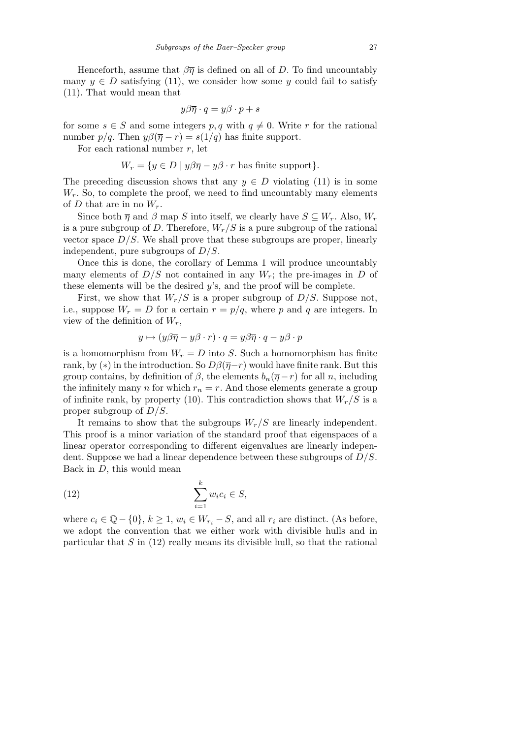Henceforth, assume that  $\beta \overline{\eta}$  is defined on all of *D*. To find uncountably many  $y \in D$  satisfying (11), we consider how some *y* could fail to satisfy (11). That would mean that

$$
y\beta\overline{\eta}\cdot q=y\beta\cdot p+s
$$

for some  $s \in S$  and some integers  $p, q$  with  $q \neq 0$ . Write r for the rational number  $p/q$ . Then  $y\beta(\overline{\eta}-r) = s(1/q)$  has finite support.

For each rational number *r*, let

$$
W_r = \{ y \in D \mid y\beta\overline{\eta} - y\beta \cdot r \text{ has finite support} \}.
$$

The preceding discussion shows that any  $y \in D$  violating (11) is in some  $W_r$ . So, to complete the proof, we need to find uncountably many elements of *D* that are in no  $W_r$ .

Since both  $\overline{\eta}$  and  $\beta$  map *S* into itself, we clearly have  $S \subseteq W_r$ . Also,  $W_r$ is a pure subgroup of *D*. Therefore,  $W_r/S$  is a pure subgroup of the rational vector space  $D/S$ . We shall prove that these subgroups are proper, linearly independent, pure subgroups of *D/S*.

Once this is done, the corollary of Lemma 1 will produce uncountably many elements of  $D/S$  not contained in any  $W_r$ ; the pre-images in *D* of these elements will be the desired *y*'s, and the proof will be complete.

First, we show that  $W_r/S$  is a proper subgroup of  $D/S$ . Suppose not, i.e., suppose  $W_r = D$  for a certain  $r = p/q$ , where p and q are integers. In view of the definition of *Wr*,

$$
y \mapsto (y\beta\overline{\eta} - y\beta \cdot r) \cdot q = y\beta\overline{\eta} \cdot q - y\beta \cdot p
$$

is a homomorphism from  $W_r = D$  into *S*. Such a homomorphism has finite rank, by ( $*$ ) in the introduction. So  $D\beta(\overline{\eta}-r)$  would have finite rank. But this group contains, by definition of  $\beta$ , the elements  $b_n(\overline{\eta}-r)$  for all *n*, including the infinitely many *n* for which  $r_n = r$ . And those elements generate a group of infinite rank, by property (10). This contradiction shows that  $W_r/S$  is a proper subgroup of *D/S*.

It remains to show that the subgroups  $W_r/S$  are linearly independent. This proof is a minor variation of the standard proof that eigenspaces of a linear operator corresponding to different eigenvalues are linearly independent. Suppose we had a linear dependence between these subgroups of *D/S*. Back in *D*, this would mean

(12) 
$$
\sum_{i=1}^{k} w_i c_i \in S,
$$

where  $c_i \in \mathbb{Q} - \{0\}$ ,  $k \geq 1$ ,  $w_i \in W_{r_i} - S$ , and all  $r_i$  are distinct. (As before, we adopt the convention that we either work with divisible hulls and in particular that *S* in (12) really means its divisible hull, so that the rational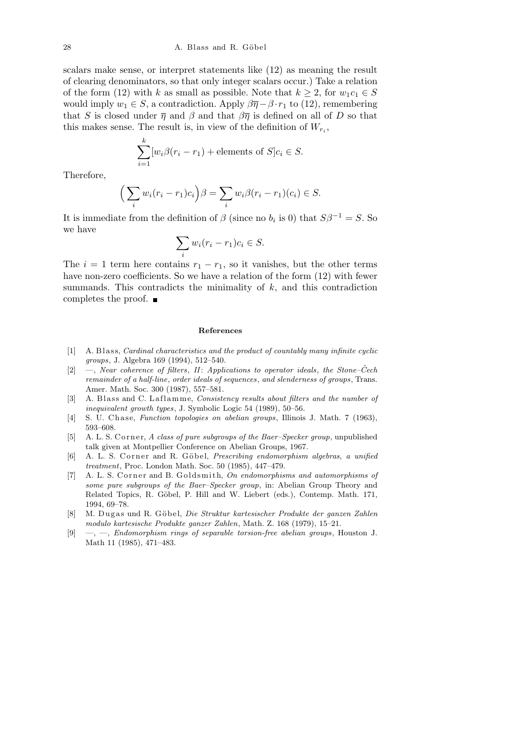scalars make sense, or interpret statements like (12) as meaning the result of clearing denominators, so that only integer scalars occur.) Take a relation of the form (12) with *k* as small as possible. Note that  $k \geq 2$ , for  $w_1c_1 \in S$ would imply  $w_1 \in S$ , a contradiction. Apply  $\beta \overline{\eta} - \beta \cdot r_1$  to (12), remembering that *S* is closed under  $\overline{\eta}$  and  $\beta$  and that  $\beta\overline{\eta}$  is defined on all of *D* so that this makes sense. The result is, in view of the definition of  $W_{r_i}$ ,

$$
\sum_{i=1}^{k} [w_i \beta(r_i - r_1) + \text{elements of } S]c_i \in S.
$$

Therefore,

$$
\left(\sum_i w_i(r_i - r_1)c_i\right)\beta = \sum_i w_i \beta(r_i - r_1)(c_i) \in S.
$$

It is immediate from the definition of  $\beta$  (since no  $b_i$  is 0) that  $S\beta^{-1} = S$ . So we have  $\overline{\phantom{a}}$ 

$$
\sum_i w_i (r_i - r_1) c_i \in S.
$$

The  $i = 1$  term here contains  $r_1 - r_1$ , so it vanishes, but the other terms have non-zero coefficients. So we have a relation of the form  $(12)$  with fewer summands. This contradicts the minimality of *k*, and this contradiction completes the proof.

## **References**

- [1] A. Blass, *Cardinal characteristics and the product of countably many infinite cyclic groups*, J. Algebra 169 (1994), 512–540.
- [2] —, *Near coherence of filters*, *II*: *Applications to operator ideals*, *the Stone–Cech ˇ remainder of a half-line*, *order ideals of sequences*, *and slenderness of groups*, Trans. Amer. Math. Soc. 300 (1987), 557–581.
- [3] A. Blass and C. Laflamme, *Consistency results about filters and the number of inequivalent growth types*, J. Symbolic Logic 54 (1989), 50–56.
- [4] S. U. Chase, *Function topologies on abelian groups*, Illinois J. Math. 7 (1963), 593–608.
- [5] A. L. S. Corner, *A class of pure subgroups of the Baer–Specker group*, unpublished talk given at Montpellier Conference on Abelian Groups, 1967.
- [6] A. L. S. Corner and R. Göbel, *Prescribing endomorphism algebras*, *a unified treatment*, Proc. London Math. Soc. 50 (1985), 447–479.
- [7] A. L. S. Corner and B. Goldsmith, *On endomorphisms and automorphisms of some pure subgroups of the Baer–Specker group*, in: Abelian Group Theory and Related Topics, R. Göbel, P. Hill and W. Liebert (eds.), Contemp. Math. 171, 1994, 69–78.
- [8] M. Dugas und R. Göbel, *Die Struktur kartesischer Produkte der ganzen Zahlen modulo kartesische Produkte ganzer Zahlen*, Math. Z. 168 (1979), 15–21.
- [9] —, —, *Endomorphism rings of separable torsion-free abelian groups*, Houston J. Math 11 (1985), 471–483.